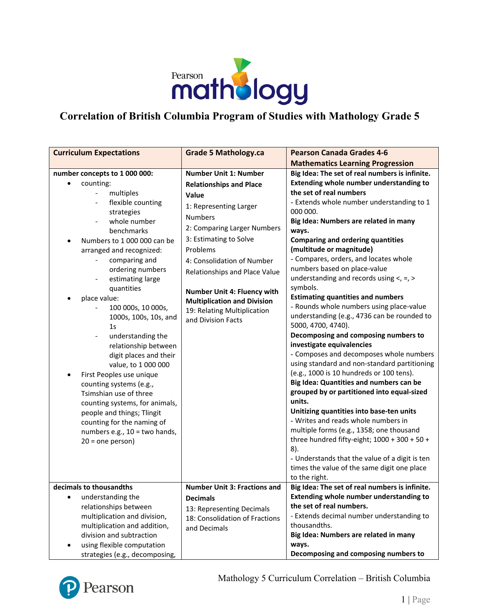

## **Correlation of British Columbia Program of Studies with Mathology Grade 5**

| <b>Curriculum Expectations</b>                                                                                                                                                                                                                                                                                                                                                                                                                                                                                                                                                                                                                                                                                                                                                           | <b>Grade 5 Mathology.ca</b>                                                                                                                                                                                                                                                                                                                                                       | <b>Pearson Canada Grades 4-6</b>                                                                                                                                                                                                                                                                                                                                                                                                                                                                                                                                                                                                                                                                                                                                                                                                                                                                                                                                                                                                                                                                                                                                                                                                      |
|------------------------------------------------------------------------------------------------------------------------------------------------------------------------------------------------------------------------------------------------------------------------------------------------------------------------------------------------------------------------------------------------------------------------------------------------------------------------------------------------------------------------------------------------------------------------------------------------------------------------------------------------------------------------------------------------------------------------------------------------------------------------------------------|-----------------------------------------------------------------------------------------------------------------------------------------------------------------------------------------------------------------------------------------------------------------------------------------------------------------------------------------------------------------------------------|---------------------------------------------------------------------------------------------------------------------------------------------------------------------------------------------------------------------------------------------------------------------------------------------------------------------------------------------------------------------------------------------------------------------------------------------------------------------------------------------------------------------------------------------------------------------------------------------------------------------------------------------------------------------------------------------------------------------------------------------------------------------------------------------------------------------------------------------------------------------------------------------------------------------------------------------------------------------------------------------------------------------------------------------------------------------------------------------------------------------------------------------------------------------------------------------------------------------------------------|
|                                                                                                                                                                                                                                                                                                                                                                                                                                                                                                                                                                                                                                                                                                                                                                                          |                                                                                                                                                                                                                                                                                                                                                                                   | <b>Mathematics Learning Progression</b>                                                                                                                                                                                                                                                                                                                                                                                                                                                                                                                                                                                                                                                                                                                                                                                                                                                                                                                                                                                                                                                                                                                                                                                               |
| number concepts to 1 000 000:<br>counting:<br>$\bullet$<br>multiples<br>$\overline{\phantom{a}}$<br>flexible counting<br>strategies<br>whole number<br>benchmarks<br>Numbers to 1 000 000 can be<br>arranged and recognized:<br>comparing and<br>ordering numbers<br>estimating large<br>$\qquad \qquad \blacksquare$<br>quantities<br>place value:<br>100 000s, 10 000s,<br>1000s, 100s, 10s, and<br>1 <sub>S</sub><br>understanding the<br>$\overline{\phantom{a}}$<br>relationship between<br>digit places and their<br>value, to 1 000 000<br>First Peoples use unique<br>٠<br>counting systems (e.g.,<br>Tsimshian use of three<br>counting systems, for animals,<br>people and things; Tlingit<br>counting for the naming of<br>numbers e.g., 10 = two hands,<br>$20 = one person$ | <b>Number Unit 1: Number</b><br><b>Relationships and Place</b><br>Value<br>1: Representing Larger<br><b>Numbers</b><br>2: Comparing Larger Numbers<br>3: Estimating to Solve<br>Problems<br>4: Consolidation of Number<br>Relationships and Place Value<br>Number Unit 4: Fluency with<br><b>Multiplication and Division</b><br>19: Relating Multiplication<br>and Division Facts | Big Idea: The set of real numbers is infinite.<br>Extending whole number understanding to<br>the set of real numbers<br>- Extends whole number understanding to 1<br>000 000.<br>Big Idea: Numbers are related in many<br>ways.<br><b>Comparing and ordering quantities</b><br>(multitude or magnitude)<br>- Compares, orders, and locates whole<br>numbers based on place-value<br>understanding and records using $\lt$ , =, ><br>symbols.<br><b>Estimating quantities and numbers</b><br>- Rounds whole numbers using place-value<br>understanding (e.g., 4736 can be rounded to<br>5000, 4700, 4740).<br>Decomposing and composing numbers to<br>investigate equivalencies<br>- Composes and decomposes whole numbers<br>using standard and non-standard partitioning<br>(e.g., 1000 is 10 hundreds or 100 tens).<br>Big Idea: Quantities and numbers can be<br>grouped by or partitioned into equal-sized<br>units.<br>Unitizing quantities into base-ten units<br>- Writes and reads whole numbers in<br>multiple forms (e.g., 1358; one thousand<br>three hundred fifty-eight; $1000 + 300 + 50 +$<br>$8$ ).<br>- Understands that the value of a digit is ten<br>times the value of the same digit one place<br>to the right. |
| decimals to thousandths                                                                                                                                                                                                                                                                                                                                                                                                                                                                                                                                                                                                                                                                                                                                                                  | <b>Number Unit 3: Fractions and</b>                                                                                                                                                                                                                                                                                                                                               | Big Idea: The set of real numbers is infinite.                                                                                                                                                                                                                                                                                                                                                                                                                                                                                                                                                                                                                                                                                                                                                                                                                                                                                                                                                                                                                                                                                                                                                                                        |
| understanding the<br>relationships between<br>multiplication and division,<br>multiplication and addition,<br>division and subtraction<br>using flexible computation<br>strategies (e.g., decomposing,                                                                                                                                                                                                                                                                                                                                                                                                                                                                                                                                                                                   | <b>Decimals</b><br>13: Representing Decimals<br>18: Consolidation of Fractions<br>and Decimals                                                                                                                                                                                                                                                                                    | <b>Extending whole number understanding to</b><br>the set of real numbers.<br>- Extends decimal number understanding to<br>thousandths.<br>Big Idea: Numbers are related in many<br>ways.<br>Decomposing and composing numbers to                                                                                                                                                                                                                                                                                                                                                                                                                                                                                                                                                                                                                                                                                                                                                                                                                                                                                                                                                                                                     |



Mathology 5 Curriculum Correlation – British Columbia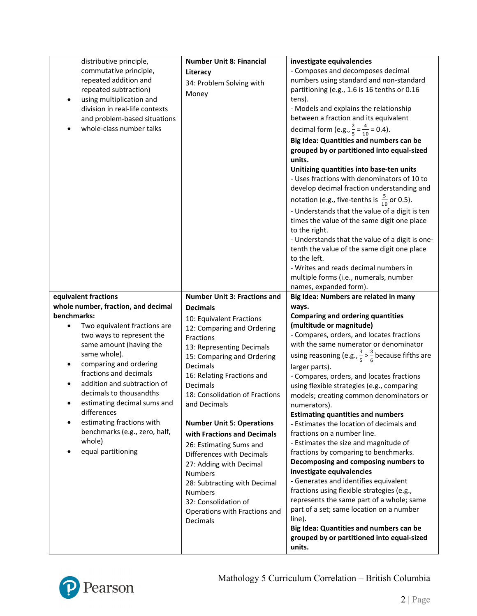| commutative principle,<br>repeated addition and<br>repeated subtraction)<br>using multiplication and<br>division in real-life contexts<br>and problem-based situations<br>whole-class number talks<br>equivalent fractions                                                                                                                                                    | Literacy<br>34: Problem Solving with<br>Money<br><b>Number Unit 3: Fractions and</b>                                                                                                                                                                                                                                                                                                                                                                                                                                                  | - Composes and decomposes decimal<br>numbers using standard and non-standard<br>partitioning (e.g., 1.6 is 16 tenths or 0.16<br>tens).<br>- Models and explains the relationship<br>between a fraction and its equivalent<br>decimal form (e.g., $\frac{2}{5} = \frac{4}{10} = 0.4$ ).<br>Big Idea: Quantities and numbers can be<br>grouped by or partitioned into equal-sized<br>units.<br>Unitizing quantities into base-ten units<br>- Uses fractions with denominators of 10 to<br>develop decimal fraction understanding and<br>notation (e.g., five-tenths is $\frac{5}{10}$ or 0.5).<br>- Understands that the value of a digit is ten<br>times the value of the same digit one place<br>to the right.<br>- Understands that the value of a digit is one-<br>tenth the value of the same digit one place<br>to the left.<br>- Writes and reads decimal numbers in<br>multiple forms (i.e., numerals, number<br>names, expanded form).<br>Big Idea: Numbers are related in many    |
|-------------------------------------------------------------------------------------------------------------------------------------------------------------------------------------------------------------------------------------------------------------------------------------------------------------------------------------------------------------------------------|---------------------------------------------------------------------------------------------------------------------------------------------------------------------------------------------------------------------------------------------------------------------------------------------------------------------------------------------------------------------------------------------------------------------------------------------------------------------------------------------------------------------------------------|-------------------------------------------------------------------------------------------------------------------------------------------------------------------------------------------------------------------------------------------------------------------------------------------------------------------------------------------------------------------------------------------------------------------------------------------------------------------------------------------------------------------------------------------------------------------------------------------------------------------------------------------------------------------------------------------------------------------------------------------------------------------------------------------------------------------------------------------------------------------------------------------------------------------------------------------------------------------------------------------|
| whole number, fraction, and decimal                                                                                                                                                                                                                                                                                                                                           | <b>Decimals</b>                                                                                                                                                                                                                                                                                                                                                                                                                                                                                                                       | ways.                                                                                                                                                                                                                                                                                                                                                                                                                                                                                                                                                                                                                                                                                                                                                                                                                                                                                                                                                                                     |
| benchmarks:<br>Two equivalent fractions are<br>two ways to represent the<br>same amount (having the<br>same whole).<br>comparing and ordering<br>fractions and decimals<br>addition and subtraction of<br>decimals to thousandths<br>estimating decimal sums and<br>differences<br>estimating fractions with<br>benchmarks (e.g., zero, half,<br>whole)<br>equal partitioning | 10: Equivalent Fractions<br>12: Comparing and Ordering<br>Fractions<br>13: Representing Decimals<br>15: Comparing and Ordering<br>Decimals<br>16: Relating Fractions and<br>Decimals<br>18: Consolidation of Fractions<br>and Decimals<br><b>Number Unit 5: Operations</b><br>with Fractions and Decimals<br>26: Estimating Sums and<br>Differences with Decimals<br>27: Adding with Decimal<br><b>Numbers</b><br>28: Subtracting with Decimal<br><b>Numbers</b><br>32: Consolidation of<br>Operations with Fractions and<br>Decimals | <b>Comparing and ordering quantities</b><br>(multitude or magnitude)<br>- Compares, orders, and locates fractions<br>with the same numerator or denominator<br>using reasoning (e.g., $\frac{3}{5}$ > $\frac{3}{6}$ because fifths are<br>larger parts).<br>- Compares, orders, and locates fractions<br>using flexible strategies (e.g., comparing<br>models; creating common denominators or<br>numerators).<br><b>Estimating quantities and numbers</b><br>- Estimates the location of decimals and<br>fractions on a number line.<br>- Estimates the size and magnitude of<br>fractions by comparing to benchmarks.<br>Decomposing and composing numbers to<br>investigate equivalencies<br>- Generates and identifies equivalent<br>fractions using flexible strategies (e.g.,<br>represents the same part of a whole; same<br>part of a set; same location on a number<br>line).<br>Big Idea: Quantities and numbers can be<br>grouped by or partitioned into equal-sized<br>units. |

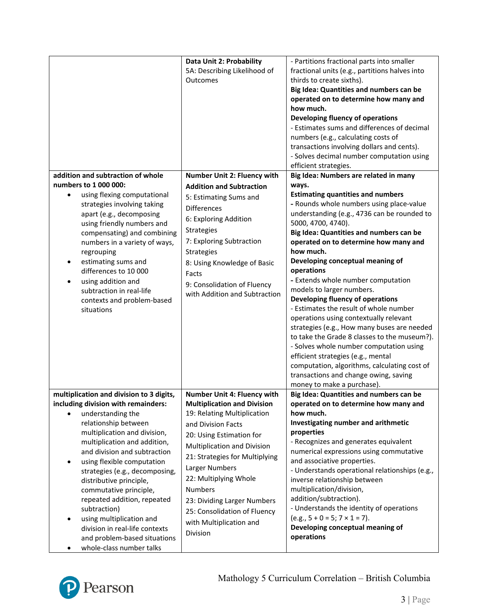|                                          | Data Unit 2: Probability           | - Partitions fractional parts into smaller     |
|------------------------------------------|------------------------------------|------------------------------------------------|
|                                          | 5A: Describing Likelihood of       | fractional units (e.g., partitions halves into |
|                                          | Outcomes                           | thirds to create sixths).                      |
|                                          |                                    | Big Idea: Quantities and numbers can be        |
|                                          |                                    | operated on to determine how many and          |
|                                          |                                    | how much.                                      |
|                                          |                                    | Developing fluency of operations               |
|                                          |                                    | - Estimates sums and differences of decimal    |
|                                          |                                    | numbers (e.g., calculating costs of            |
|                                          |                                    | transactions involving dollars and cents).     |
|                                          |                                    | - Solves decimal number computation using      |
|                                          |                                    | efficient strategies.                          |
| addition and subtraction of whole        | Number Unit 2: Fluency with        | Big Idea: Numbers are related in many          |
| numbers to 1 000 000:                    | <b>Addition and Subtraction</b>    | ways.                                          |
| using flexing computational<br>$\bullet$ |                                    | <b>Estimating quantities and numbers</b>       |
| strategies involving taking              | 5: Estimating Sums and             | - Rounds whole numbers using place-value       |
| apart (e.g., decomposing                 | <b>Differences</b>                 | understanding (e.g., 4736 can be rounded to    |
| using friendly numbers and               | 6: Exploring Addition              | 5000, 4700, 4740).                             |
| compensating) and combining              | Strategies                         | Big Idea: Quantities and numbers can be        |
| numbers in a variety of ways,            | 7: Exploring Subtraction           | operated on to determine how many and          |
| regrouping                               | Strategies                         | how much.                                      |
| estimating sums and                      |                                    | Developing conceptual meaning of               |
| differences to 10 000                    | 8: Using Knowledge of Basic        | operations                                     |
|                                          | Facts                              | - Extends whole number computation             |
| using addition and<br>$\bullet$          | 9: Consolidation of Fluency        |                                                |
| subtraction in real-life                 | with Addition and Subtraction      | models to larger numbers.                      |
| contexts and problem-based               |                                    | Developing fluency of operations               |
| situations                               |                                    | - Estimates the result of whole number         |
|                                          |                                    | operations using contextually relevant         |
|                                          |                                    | strategies (e.g., How many buses are needed    |
|                                          |                                    | to take the Grade 8 classes to the museum?).   |
|                                          |                                    | - Solves whole number computation using        |
|                                          |                                    | efficient strategies (e.g., mental             |
|                                          |                                    | computation, algorithms, calculating cost of   |
|                                          |                                    | transactions and change owing, saving          |
|                                          |                                    | money to make a purchase).                     |
| multiplication and division to 3 digits, | Number Unit 4: Fluency with        | Big Idea: Quantities and numbers can be        |
| including division with remainders:      | <b>Multiplication and Division</b> | operated on to determine how many and          |
| understanding the<br>$\bullet$           | 19: Relating Multiplication        | how much.                                      |
| relationship between                     | and Division Facts                 | Investigating number and arithmetic            |
| multiplication and division,             | 20: Using Estimation for           | properties                                     |
| multiplication and addition,             | Multiplication and Division        | - Recognizes and generates equivalent          |
| and division and subtraction             | 21: Strategies for Multiplying     | numerical expressions using commutative        |
| using flexible computation               |                                    | and associative properties.                    |
| strategies (e.g., decomposing,           | Larger Numbers                     | - Understands operational relationships (e.g., |
| distributive principle,                  | 22: Multiplying Whole              | inverse relationship between                   |
| commutative principle,                   | <b>Numbers</b>                     | multiplication/division,                       |
| repeated addition, repeated              | 23: Dividing Larger Numbers        | addition/subtraction).                         |
| subtraction)                             | 25: Consolidation of Fluency       | - Understands the identity of operations       |
| using multiplication and                 | with Multiplication and            | $(e.g., 5 + 0 = 5; 7 \times 1 = 7).$           |
| division in real-life contexts           |                                    | Developing conceptual meaning of               |
| and problem-based situations             | Division                           | operations                                     |
| whole-class number talks                 |                                    |                                                |

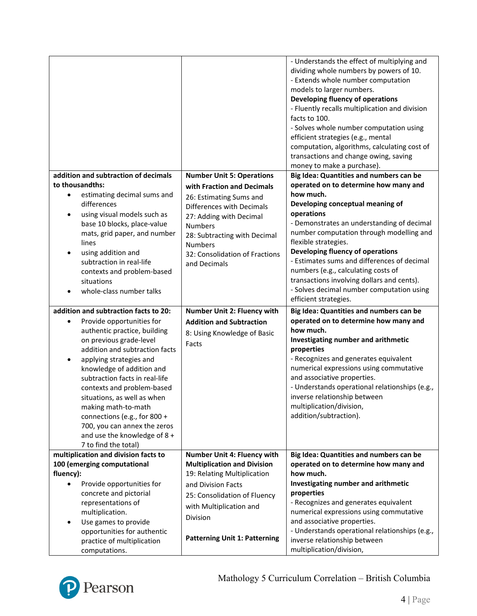|                                                                                                                                                                                                                                                                                                                                                                                                                                                                            |                                                                                                                                                                                                       | - Understands the effect of multiplying and<br>dividing whole numbers by powers of 10.<br>- Extends whole number computation<br>models to larger numbers.<br>Developing fluency of operations<br>- Fluently recalls multiplication and division<br>facts to 100.<br>- Solves whole number computation using<br>efficient strategies (e.g., mental<br>computation, algorithms, calculating cost of<br>transactions and change owing, saving<br>money to make a purchase). |
|----------------------------------------------------------------------------------------------------------------------------------------------------------------------------------------------------------------------------------------------------------------------------------------------------------------------------------------------------------------------------------------------------------------------------------------------------------------------------|-------------------------------------------------------------------------------------------------------------------------------------------------------------------------------------------------------|--------------------------------------------------------------------------------------------------------------------------------------------------------------------------------------------------------------------------------------------------------------------------------------------------------------------------------------------------------------------------------------------------------------------------------------------------------------------------|
| addition and subtraction of decimals                                                                                                                                                                                                                                                                                                                                                                                                                                       | <b>Number Unit 5: Operations</b>                                                                                                                                                                      | Big Idea: Quantities and numbers can be                                                                                                                                                                                                                                                                                                                                                                                                                                  |
| to thousandths:                                                                                                                                                                                                                                                                                                                                                                                                                                                            | with Fraction and Decimals                                                                                                                                                                            | operated on to determine how many and                                                                                                                                                                                                                                                                                                                                                                                                                                    |
| estimating decimal sums and<br>$\bullet$<br>differences<br>using visual models such as<br>base 10 blocks, place-value<br>mats, grid paper, and number<br>lines<br>using addition and<br>subtraction in real-life<br>contexts and problem-based<br>situations<br>whole-class number talks                                                                                                                                                                                   | 26: Estimating Sums and<br>Differences with Decimals<br>27: Adding with Decimal<br><b>Numbers</b><br>28: Subtracting with Decimal<br><b>Numbers</b><br>32: Consolidation of Fractions<br>and Decimals | how much.<br>Developing conceptual meaning of<br>operations<br>- Demonstrates an understanding of decimal<br>number computation through modelling and<br>flexible strategies.<br>Developing fluency of operations<br>- Estimates sums and differences of decimal<br>numbers (e.g., calculating costs of<br>transactions involving dollars and cents).<br>- Solves decimal number computation using<br>efficient strategies.                                              |
|                                                                                                                                                                                                                                                                                                                                                                                                                                                                            |                                                                                                                                                                                                       |                                                                                                                                                                                                                                                                                                                                                                                                                                                                          |
|                                                                                                                                                                                                                                                                                                                                                                                                                                                                            |                                                                                                                                                                                                       |                                                                                                                                                                                                                                                                                                                                                                                                                                                                          |
| addition and subtraction facts to 20:<br>Provide opportunities for<br>authentic practice, building<br>on previous grade-level<br>addition and subtraction facts<br>applying strategies and<br>٠<br>knowledge of addition and<br>subtraction facts in real-life<br>contexts and problem-based<br>situations, as well as when<br>making math-to-math<br>connections (e.g., for 800 +<br>700, you can annex the zeros<br>and use the knowledge of 8 +<br>7 to find the total) | Number Unit 2: Fluency with<br><b>Addition and Subtraction</b><br>8: Using Knowledge of Basic<br>Facts                                                                                                | Big Idea: Quantities and numbers can be<br>operated on to determine how many and<br>how much.<br>Investigating number and arithmetic<br>properties<br>- Recognizes and generates equivalent<br>numerical expressions using commutative<br>and associative properties.<br>- Understands operational relationships (e.g.,<br>inverse relationship between<br>multiplication/division,<br>addition/subtraction).                                                            |
| multiplication and division facts to                                                                                                                                                                                                                                                                                                                                                                                                                                       | Number Unit 4: Fluency with                                                                                                                                                                           | Big Idea: Quantities and numbers can be                                                                                                                                                                                                                                                                                                                                                                                                                                  |
| 100 (emerging computational                                                                                                                                                                                                                                                                                                                                                                                                                                                | <b>Multiplication and Division</b>                                                                                                                                                                    | operated on to determine how many and                                                                                                                                                                                                                                                                                                                                                                                                                                    |
| fluency):                                                                                                                                                                                                                                                                                                                                                                                                                                                                  | 19: Relating Multiplication                                                                                                                                                                           | how much.                                                                                                                                                                                                                                                                                                                                                                                                                                                                |
| Provide opportunities for<br>concrete and pictorial                                                                                                                                                                                                                                                                                                                                                                                                                        | and Division Facts<br>25: Consolidation of Fluency                                                                                                                                                    | Investigating number and arithmetic<br>properties                                                                                                                                                                                                                                                                                                                                                                                                                        |
| representations of                                                                                                                                                                                                                                                                                                                                                                                                                                                         | with Multiplication and                                                                                                                                                                               | - Recognizes and generates equivalent                                                                                                                                                                                                                                                                                                                                                                                                                                    |
| multiplication.                                                                                                                                                                                                                                                                                                                                                                                                                                                            | Division                                                                                                                                                                                              | numerical expressions using commutative<br>and associative properties.                                                                                                                                                                                                                                                                                                                                                                                                   |
| Use games to provide<br>opportunities for authentic                                                                                                                                                                                                                                                                                                                                                                                                                        | <b>Patterning Unit 1: Patterning</b>                                                                                                                                                                  | - Understands operational relationships (e.g.,                                                                                                                                                                                                                                                                                                                                                                                                                           |

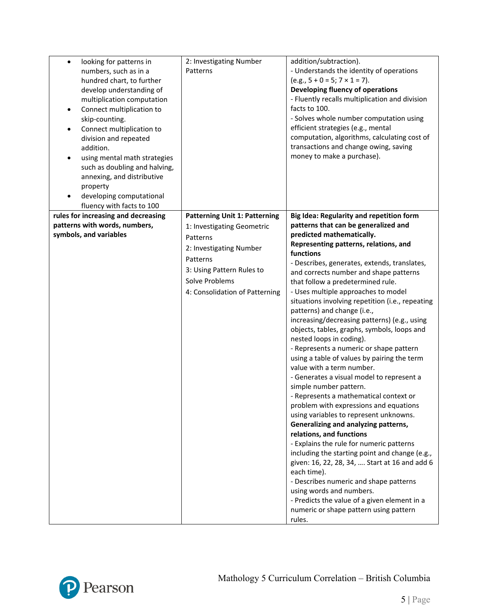| looking for patterns in<br>$\bullet$<br>numbers, such as in a | 2: Investigating Number<br>Patterns  | addition/subtraction).<br>- Understands the identity of operations                         |
|---------------------------------------------------------------|--------------------------------------|--------------------------------------------------------------------------------------------|
| hundred chart, to further                                     |                                      | $(e.g., 5 + 0 = 5; 7 \times 1 = 7).$                                                       |
| develop understanding of                                      |                                      | Developing fluency of operations                                                           |
| multiplication computation                                    |                                      | - Fluently recalls multiplication and division                                             |
| Connect multiplication to                                     |                                      | facts to 100.                                                                              |
| skip-counting.                                                |                                      | - Solves whole number computation using<br>efficient strategies (e.g., mental              |
| Connect multiplication to<br>division and repeated            |                                      | computation, algorithms, calculating cost of                                               |
| addition.                                                     |                                      | transactions and change owing, saving                                                      |
| using mental math strategies                                  |                                      | money to make a purchase).                                                                 |
| such as doubling and halving,                                 |                                      |                                                                                            |
| annexing, and distributive                                    |                                      |                                                                                            |
| property                                                      |                                      |                                                                                            |
| developing computational                                      |                                      |                                                                                            |
| fluency with facts to 100                                     |                                      |                                                                                            |
| rules for increasing and decreasing                           | <b>Patterning Unit 1: Patterning</b> | Big Idea: Regularity and repetition form                                                   |
| patterns with words, numbers,                                 | 1: Investigating Geometric           | patterns that can be generalized and                                                       |
| symbols, and variables                                        | Patterns                             | predicted mathematically.<br>Representing patterns, relations, and                         |
|                                                               | 2: Investigating Number              | functions                                                                                  |
|                                                               | Patterns                             | - Describes, generates, extends, translates,                                               |
|                                                               | 3: Using Pattern Rules to            | and corrects number and shape patterns                                                     |
|                                                               | Solve Problems                       | that follow a predetermined rule.                                                          |
|                                                               | 4: Consolidation of Patterning       | - Uses multiple approaches to model                                                        |
|                                                               |                                      | situations involving repetition (i.e., repeating                                           |
|                                                               |                                      | patterns) and change (i.e.,                                                                |
|                                                               |                                      | increasing/decreasing patterns) (e.g., using                                               |
|                                                               |                                      | objects, tables, graphs, symbols, loops and                                                |
|                                                               |                                      | nested loops in coding).<br>- Represents a numeric or shape pattern                        |
|                                                               |                                      | using a table of values by pairing the term                                                |
|                                                               |                                      | value with a term number.                                                                  |
|                                                               |                                      | - Generates a visual model to represent a                                                  |
|                                                               |                                      | simple number pattern.                                                                     |
|                                                               |                                      | - Represents a mathematical context or                                                     |
|                                                               |                                      | problem with expressions and equations                                                     |
|                                                               |                                      | using variables to represent unknowns.                                                     |
|                                                               |                                      | Generalizing and analyzing patterns,                                                       |
|                                                               |                                      | relations, and functions                                                                   |
|                                                               |                                      | - Explains the rule for numeric patterns<br>including the starting point and change (e.g., |
|                                                               |                                      | given: 16, 22, 28, 34,  Start at 16 and add 6                                              |
|                                                               |                                      | each time).                                                                                |
|                                                               |                                      | - Describes numeric and shape patterns                                                     |
|                                                               |                                      | using words and numbers.                                                                   |
|                                                               |                                      | - Predicts the value of a given element in a                                               |
|                                                               |                                      | numeric or shape pattern using pattern                                                     |
|                                                               |                                      | rules.                                                                                     |

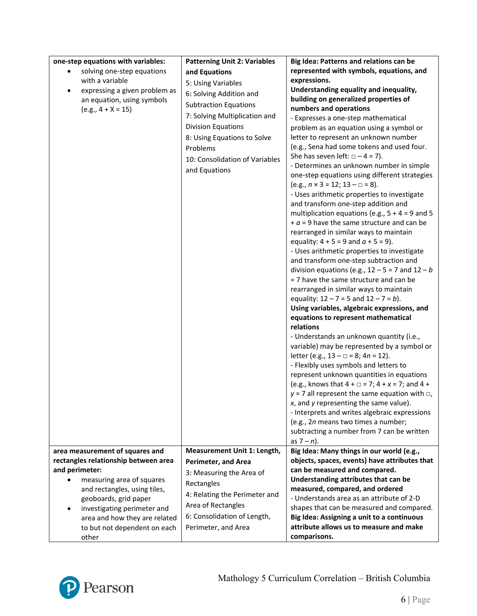| one-step equations with variables:         | <b>Patterning Unit 2: Variables</b> | Big Idea: Patterns and relations can be                                        |
|--------------------------------------------|-------------------------------------|--------------------------------------------------------------------------------|
| solving one-step equations                 | and Equations                       | represented with symbols, equations, and                                       |
| with a variable                            | 5: Using Variables                  | expressions.                                                                   |
| expressing a given problem as<br>$\bullet$ | 6: Solving Addition and             | Understanding equality and inequality,                                         |
| an equation, using symbols                 | <b>Subtraction Equations</b>        | building on generalized properties of                                          |
| $(e.g., 4 + X = 15)$                       |                                     | numbers and operations                                                         |
|                                            | 7: Solving Multiplication and       | - Expresses a one-step mathematical                                            |
|                                            | <b>Division Equations</b>           | problem as an equation using a symbol or                                       |
|                                            | 8: Using Equations to Solve         | letter to represent an unknown number                                          |
|                                            | Problems                            | (e.g., Sena had some tokens and used four.                                     |
|                                            | 10: Consolidation of Variables      | She has seven left: $\Box - 4 = 7$ ).                                          |
|                                            | and Equations                       | - Determines an unknown number in simple                                       |
|                                            |                                     | one-step equations using different strategies                                  |
|                                            |                                     | $(e.g., n \times 3 = 12; 13 - \square = 8).$                                   |
|                                            |                                     | - Uses arithmetic properties to investigate                                    |
|                                            |                                     | and transform one-step addition and                                            |
|                                            |                                     | multiplication equations (e.g., $5 + 4 = 9$ and 5                              |
|                                            |                                     | $+ a = 9$ have the same structure and can be                                   |
|                                            |                                     | rearranged in similar ways to maintain                                         |
|                                            |                                     | equality: $4 + 5 = 9$ and $a + 5 = 9$ ).                                       |
|                                            |                                     | - Uses arithmetic properties to investigate                                    |
|                                            |                                     | and transform one-step subtraction and                                         |
|                                            |                                     | division equations (e.g., $12 - 5 = 7$ and $12 - b$                            |
|                                            |                                     | = 7 have the same structure and can be                                         |
|                                            |                                     | rearranged in similar ways to maintain                                         |
|                                            |                                     | equality: $12 - 7 = 5$ and $12 - 7 = b$ ).                                     |
|                                            |                                     | Using variables, algebraic expressions, and                                    |
|                                            |                                     | equations to represent mathematical                                            |
|                                            |                                     | relations                                                                      |
|                                            |                                     | - Understands an unknown quantity (i.e.,                                       |
|                                            |                                     | variable) may be represented by a symbol or                                    |
|                                            |                                     | letter (e.g., $13 - \square = 8$ ; $4n = 12$ ).                                |
|                                            |                                     | - Flexibly uses symbols and letters to                                         |
|                                            |                                     | represent unknown quantities in equations                                      |
|                                            |                                     | (e.g., knows that $4 + \square = 7$ ; $4 + x = 7$ ; and $4 +$                  |
|                                            |                                     | $y = 7$ all represent the same equation with $\Box$ ,                          |
|                                            |                                     | $x$ , and $y$ representing the same value).                                    |
|                                            |                                     | - Interprets and writes algebraic expressions                                  |
|                                            |                                     | (e.g., 2n means two times a number;                                            |
|                                            |                                     | subtracting a number from 7 can be written                                     |
|                                            |                                     | as $7 - n$ ).                                                                  |
| area measurement of squares and            | Measurement Unit 1: Length,         | Big Idea: Many things in our world (e.g.,                                      |
| rectangles relationship between area       | <b>Perimeter, and Area</b>          | objects, spaces, events) have attributes that<br>can be measured and compared. |
| and perimeter:                             | 3: Measuring the Area of            |                                                                                |
| measuring area of squares                  | Rectangles                          | Understanding attributes that can be<br>measured, compared, and ordered        |
| and rectangles, using tiles,               | 4: Relating the Perimeter and       | - Understands area as an attribute of 2-D                                      |
| geoboards, grid paper                      | Area of Rectangles                  | shapes that can be measured and compared.                                      |
| investigating perimeter and                | 6: Consolidation of Length,         | Big Idea: Assigning a unit to a continuous                                     |
| area and how they are related              |                                     | attribute allows us to measure and make                                        |
| to but not dependent on each               | Perimeter, and Area                 |                                                                                |
| other                                      |                                     | comparisons.                                                                   |

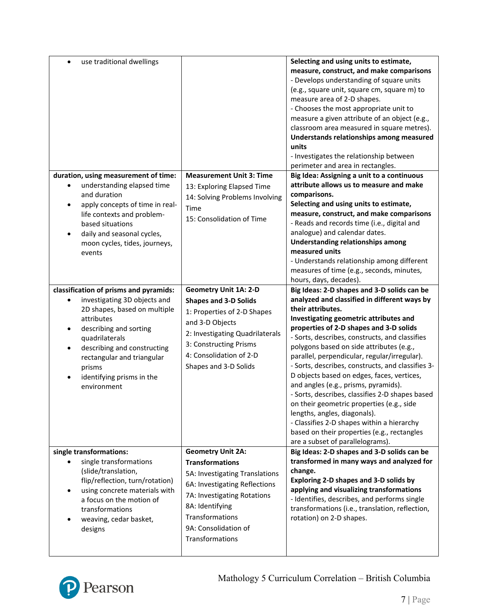| use traditional dwellings                                                                                                                                                                                                                                                           |                                                                                                                                                                                                                                       | Selecting and using units to estimate,<br>measure, construct, and make comparisons<br>- Develops understanding of square units<br>(e.g., square unit, square cm, square m) to<br>measure area of 2-D shapes.<br>- Chooses the most appropriate unit to<br>measure a given attribute of an object (e.g.,<br>classroom area measured in square metres).<br>Understands relationships among measured<br>units<br>- Investigates the relationship between<br>perimeter and area in rectangles.                                                                                                                                                                                                                                                                      |
|-------------------------------------------------------------------------------------------------------------------------------------------------------------------------------------------------------------------------------------------------------------------------------------|---------------------------------------------------------------------------------------------------------------------------------------------------------------------------------------------------------------------------------------|-----------------------------------------------------------------------------------------------------------------------------------------------------------------------------------------------------------------------------------------------------------------------------------------------------------------------------------------------------------------------------------------------------------------------------------------------------------------------------------------------------------------------------------------------------------------------------------------------------------------------------------------------------------------------------------------------------------------------------------------------------------------|
| duration, using measurement of time:<br>understanding elapsed time<br>and duration<br>apply concepts of time in real-<br>life contexts and problem-<br>based situations<br>daily and seasonal cycles,<br>moon cycles, tides, journeys,<br>events                                    | <b>Measurement Unit 3: Time</b><br>13: Exploring Elapsed Time<br>14: Solving Problems Involving<br>Time<br>15: Consolidation of Time                                                                                                  | Big Idea: Assigning a unit to a continuous<br>attribute allows us to measure and make<br>comparisons.<br>Selecting and using units to estimate,<br>measure, construct, and make comparisons<br>- Reads and records time (i.e., digital and<br>analogue) and calendar dates.<br>Understanding relationships among<br>measured units<br>- Understands relationship among different<br>measures of time (e.g., seconds, minutes,<br>hours, days, decades).                                                                                                                                                                                                                                                                                                         |
| classification of prisms and pyramids:<br>investigating 3D objects and<br>2D shapes, based on multiple<br>attributes<br>describing and sorting<br>quadrilaterals<br>describing and constructing<br>rectangular and triangular<br>prisms<br>identifying prisms in the<br>environment | <b>Geometry Unit 1A: 2-D</b><br><b>Shapes and 3-D Solids</b><br>1: Properties of 2-D Shapes<br>and 3-D Objects<br>2: Investigating Quadrilaterals<br>3: Constructing Prisms<br>4: Consolidation of 2-D<br>Shapes and 3-D Solids       | Big Ideas: 2-D shapes and 3-D solids can be<br>analyzed and classified in different ways by<br>their attributes.<br>Investigating geometric attributes and<br>properties of 2-D shapes and 3-D solids<br>- Sorts, describes, constructs, and classifies<br>polygons based on side attributes (e.g.,<br>parallel, perpendicular, regular/irregular).<br>- Sorts, describes, constructs, and classifies 3-<br>D objects based on edges, faces, vertices,<br>and angles (e.g., prisms, pyramids).<br>- Sorts, describes, classifies 2-D shapes based<br>on their geometric properties (e.g., side<br>lengths, angles, diagonals).<br>- Classifies 2-D shapes within a hierarchy<br>based on their properties (e.g., rectangles<br>are a subset of parallelograms). |
| single transformations:<br>single transformations<br>(slide/translation,<br>flip/reflection, turn/rotation)<br>using concrete materials with<br>a focus on the motion of<br>transformations<br>weaving, cedar basket,<br>designs                                                    | <b>Geometry Unit 2A:</b><br><b>Transformations</b><br>5A: Investigating Translations<br>6A: Investigating Reflections<br>7A: Investigating Rotations<br>8A: Identifying<br>Transformations<br>9A: Consolidation of<br>Transformations | Big Ideas: 2-D shapes and 3-D solids can be<br>transformed in many ways and analyzed for<br>change.<br>Exploring 2-D shapes and 3-D solids by<br>applying and visualizing transformations<br>- Identifies, describes, and performs single<br>transformations (i.e., translation, reflection,<br>rotation) on 2-D shapes.                                                                                                                                                                                                                                                                                                                                                                                                                                        |

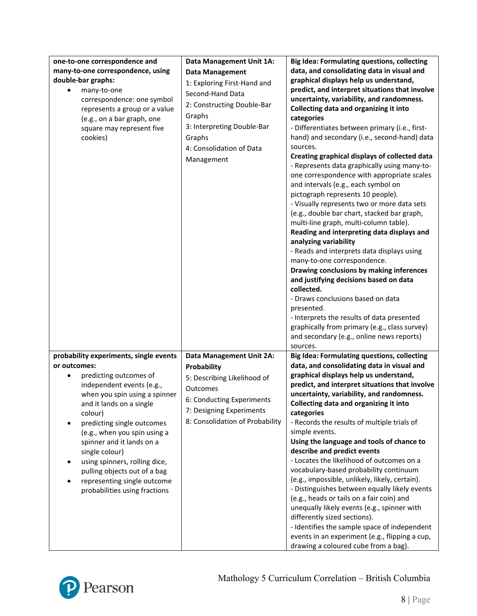| one-to-one correspondence and<br>many-to-one correspondence, using<br>double-bar graphs:<br>many-to-one<br>correspondence: one symbol<br>represents a group or a value<br>(e.g., on a bar graph, one<br>square may represent five<br>cookies)                                                                                                                                                                                       | Data Management Unit 1A:<br><b>Data Management</b><br>1: Exploring First-Hand and<br>Second-Hand Data<br>2: Constructing Double-Bar<br>Graphs<br>3: Interpreting Double-Bar<br>Graphs<br>4: Consolidation of Data<br>Management | <b>Big Idea: Formulating questions, collecting</b><br>data, and consolidating data in visual and<br>graphical displays help us understand,<br>predict, and interpret situations that involve<br>uncertainty, variability, and randomness.<br>Collecting data and organizing it into<br>categories<br>- Differentiates between primary (i.e., first-<br>hand) and secondary (i.e., second-hand) data<br>sources.<br>Creating graphical displays of collected data<br>- Represents data graphically using many-to-<br>one correspondence with appropriate scales<br>and intervals (e.g., each symbol on<br>pictograph represents 10 people).<br>- Visually represents two or more data sets<br>(e.g., double bar chart, stacked bar graph,<br>multi-line graph, multi-column table).<br>Reading and interpreting data displays and<br>analyzing variability<br>- Reads and interprets data displays using<br>many-to-one correspondence.<br>Drawing conclusions by making inferences<br>and justifying decisions based on data<br>collected.<br>- Draws conclusions based on data<br>presented.<br>- Interprets the results of data presented<br>graphically from primary (e.g., class survey)<br>and secondary (e.g., online news reports) |
|-------------------------------------------------------------------------------------------------------------------------------------------------------------------------------------------------------------------------------------------------------------------------------------------------------------------------------------------------------------------------------------------------------------------------------------|---------------------------------------------------------------------------------------------------------------------------------------------------------------------------------------------------------------------------------|-------------------------------------------------------------------------------------------------------------------------------------------------------------------------------------------------------------------------------------------------------------------------------------------------------------------------------------------------------------------------------------------------------------------------------------------------------------------------------------------------------------------------------------------------------------------------------------------------------------------------------------------------------------------------------------------------------------------------------------------------------------------------------------------------------------------------------------------------------------------------------------------------------------------------------------------------------------------------------------------------------------------------------------------------------------------------------------------------------------------------------------------------------------------------------------------------------------------------------------------|
| probability experiments, single events<br>or outcomes:<br>predicting outcomes of<br>independent events (e.g.,<br>when you spin using a spinner<br>and it lands on a single<br>colour)<br>predicting single outcomes<br>(e.g., when you spin using a<br>spinner and it lands on a<br>single colour)<br>using spinners, rolling dice,<br>pulling objects out of a bag<br>representing single outcome<br>probabilities using fractions | Data Management Unit 2A:<br>Probability<br>5: Describing Likelihood of<br>Outcomes<br>6: Conducting Experiments<br>7: Designing Experiments<br>8: Consolidation of Probability                                                  | sources.<br><b>Big Idea: Formulating questions, collecting</b><br>data, and consolidating data in visual and<br>graphical displays help us understand,<br>predict, and interpret situations that involve<br>uncertainty, variability, and randomness.<br>Collecting data and organizing it into<br>categories<br>- Records the results of multiple trials of<br>simple events.<br>Using the language and tools of chance to<br>describe and predict events<br>- Locates the likelihood of outcomes on a<br>vocabulary-based probability continuum<br>(e.g., impossible, unlikely, likely, certain).<br>- Distinguishes between equally likely events<br>(e.g., heads or tails on a fair coin) and<br>unequally likely events (e.g., spinner with<br>differently sized sections).<br>- Identifies the sample space of independent<br>events in an experiment (e.g., flipping a cup,<br>drawing a coloured cube from a bag).                                                                                                                                                                                                                                                                                                                |